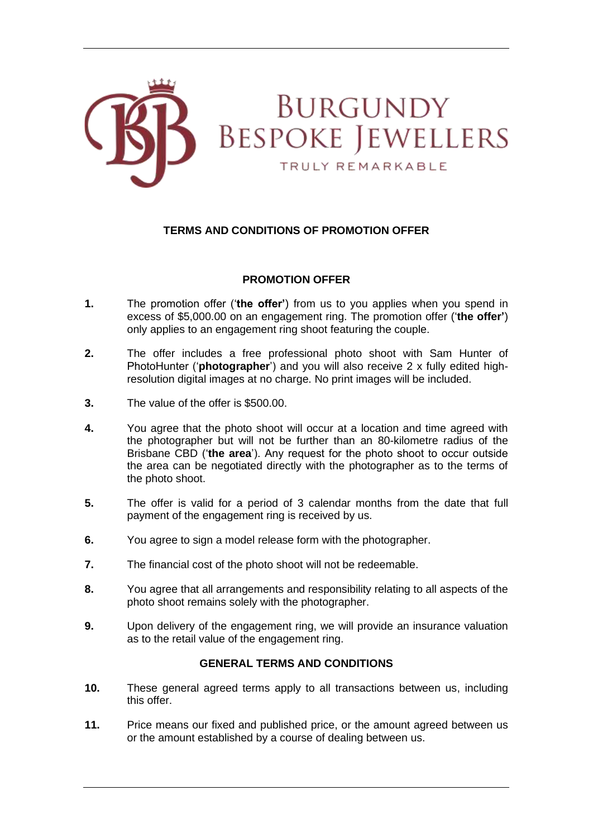

## **TERMS AND CONDITIONS OF PROMOTION OFFER**

## **PROMOTION OFFER**

- **1.** The promotion offer ('**the offer'**) from us to you applies when you spend in excess of \$5,000.00 on an engagement ring. The promotion offer ('**the offer'**) only applies to an engagement ring shoot featuring the couple.
- **2.** The offer includes a free professional photo shoot with Sam Hunter of PhotoHunter ('**photographer**') and you will also receive 2 x fully edited highresolution digital images at no charge. No print images will be included.
- **3.** The value of the offer is \$500.00.
- **4.** You agree that the photo shoot will occur at a location and time agreed with the photographer but will not be further than an 80-kilometre radius of the Brisbane CBD ('**the area**'). Any request for the photo shoot to occur outside the area can be negotiated directly with the photographer as to the terms of the photo shoot.
- **5.** The offer is valid for a period of 3 calendar months from the date that full payment of the engagement ring is received by us.
- **6.** You agree to sign a model release form with the photographer.
- **7.** The financial cost of the photo shoot will not be redeemable.
- **8.** You agree that all arrangements and responsibility relating to all aspects of the photo shoot remains solely with the photographer.
- **9.** Upon delivery of the engagement ring, we will provide an insurance valuation as to the retail value of the engagement ring.

## **GENERAL TERMS AND CONDITIONS**

- **10.** These general agreed terms apply to all transactions between us, including this offer.
- **11.** Price means our fixed and published price, or the amount agreed between us or the amount established by a course of dealing between us.